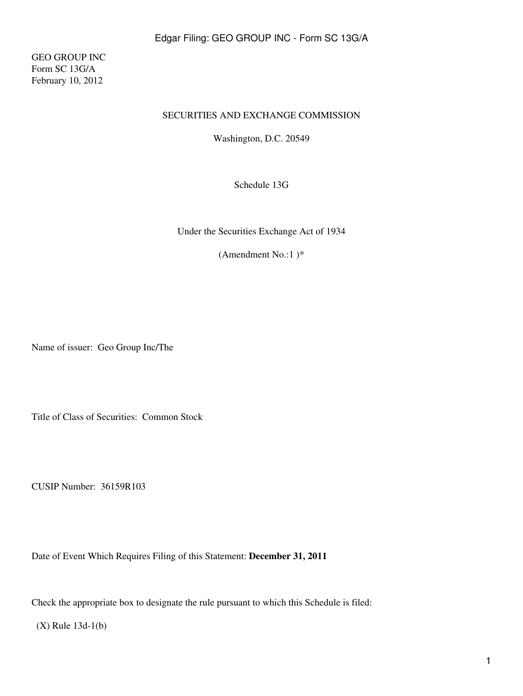GEO GROUP INC Form SC 13G/A February 10, 2012

#### SECURITIES AND EXCHANGE COMMISSION

Washington, D.C. 20549

Schedule 13G

Under the Securities Exchange Act of 1934

(Amendment No.:1 )\*

Name of issuer: Geo Group Inc/The

Title of Class of Securities: Common Stock

CUSIP Number: 36159R103

Date of Event Which Requires Filing of this Statement: **December 31, 2011**

Check the appropriate box to designate the rule pursuant to which this Schedule is filed:

(X) Rule 13d-1(b)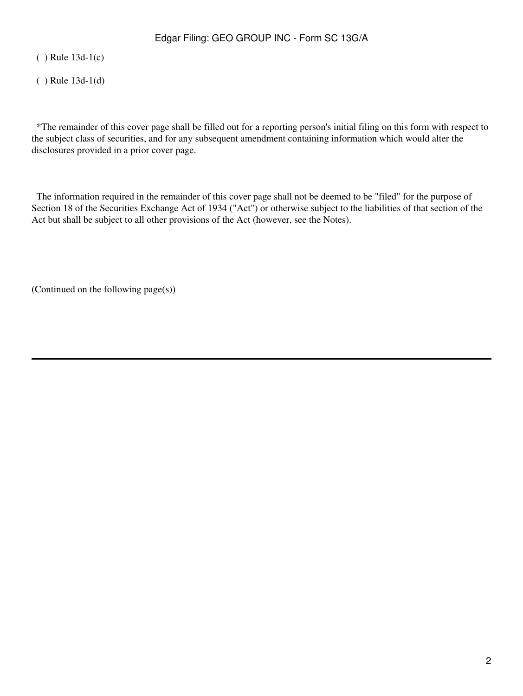( ) Rule 13d-1(c)

( ) Rule 13d-1(d)

 \*The remainder of this cover page shall be filled out for a reporting person's initial filing on this form with respect to the subject class of securities, and for any subsequent amendment containing information which would alter the disclosures provided in a prior cover page.

 The information required in the remainder of this cover page shall not be deemed to be "filed" for the purpose of Section 18 of the Securities Exchange Act of 1934 ("Act") or otherwise subject to the liabilities of that section of the Act but shall be subject to all other provisions of the Act (however, see the Notes).

(Continued on the following page(s))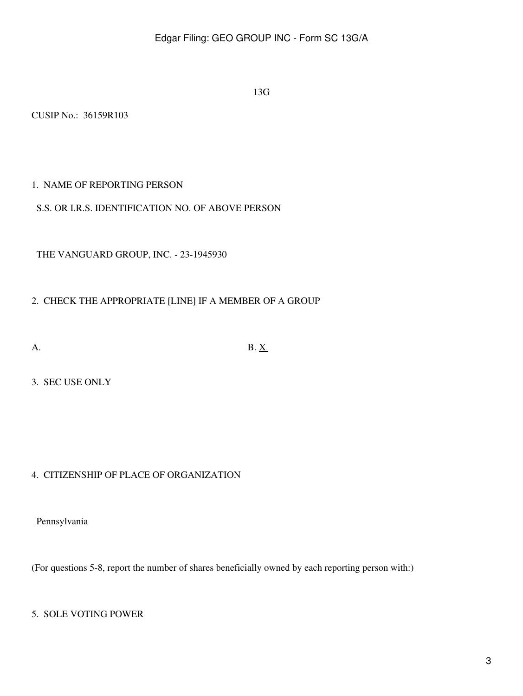13G

CUSIP No.: 36159R103

## 1. NAME OF REPORTING PERSON

### S.S. OR I.R.S. IDENTIFICATION NO. OF ABOVE PERSON

THE VANGUARD GROUP, INC. - 23-1945930

# 2. CHECK THE APPROPRIATE [LINE] IF A MEMBER OF A GROUP

A. B.  $X$ 

3. SEC USE ONLY

# 4. CITIZENSHIP OF PLACE OF ORGANIZATION

Pennsylvania

(For questions 5-8, report the number of shares beneficially owned by each reporting person with:)

## 5. SOLE VOTING POWER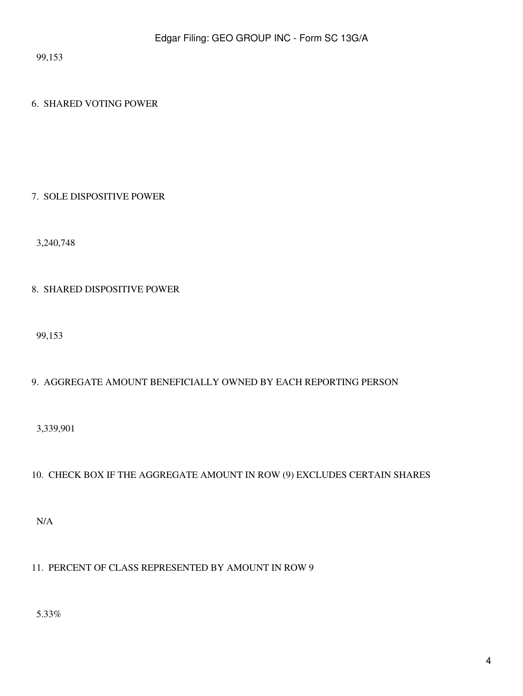99,153

## 6. SHARED VOTING POWER

#### 7. SOLE DISPOSITIVE POWER

3,240,748

## 8. SHARED DISPOSITIVE POWER

99,153

# 9. AGGREGATE AMOUNT BENEFICIALLY OWNED BY EACH REPORTING PERSON

3,339,901

# 10. CHECK BOX IF THE AGGREGATE AMOUNT IN ROW (9) EXCLUDES CERTAIN SHARES

N/A

# 11. PERCENT OF CLASS REPRESENTED BY AMOUNT IN ROW 9

5.33%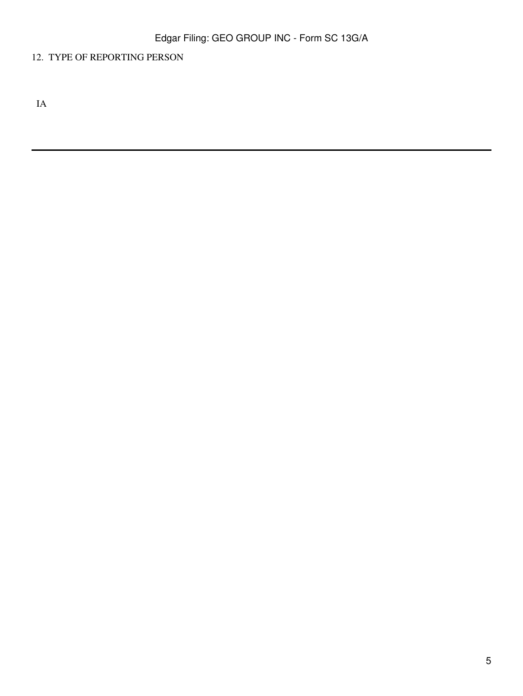# 12. TYPE OF REPORTING PERSON

IA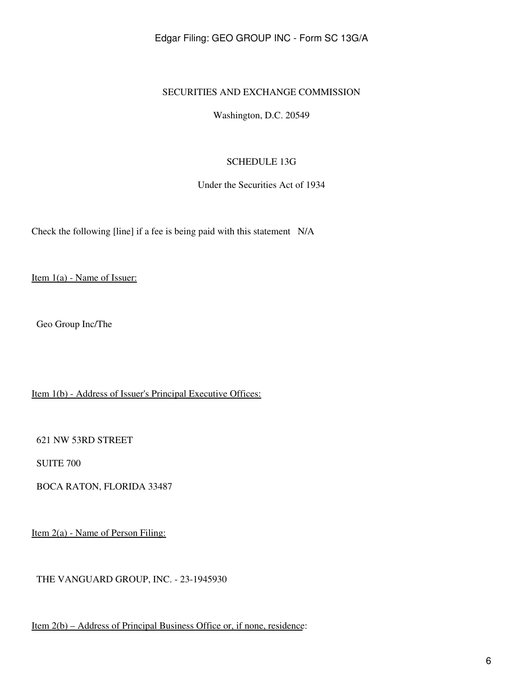### Edgar Filing: GEO GROUP INC - Form SC 13G/A

#### SECURITIES AND EXCHANGE COMMISSION

Washington, D.C. 20549

#### SCHEDULE 13G

Under the Securities Act of 1934

Check the following [line] if a fee is being paid with this statement N/A

Item 1(a) - Name of Issuer:

Geo Group Inc/The

Item 1(b) - Address of Issuer's Principal Executive Offices:

621 NW 53RD STREET

SUITE 700

BOCA RATON, FLORIDA 33487

Item 2(a) - Name of Person Filing:

THE VANGUARD GROUP, INC. - 23-1945930

Item 2(b) – Address of Principal Business Office or, if none, residence: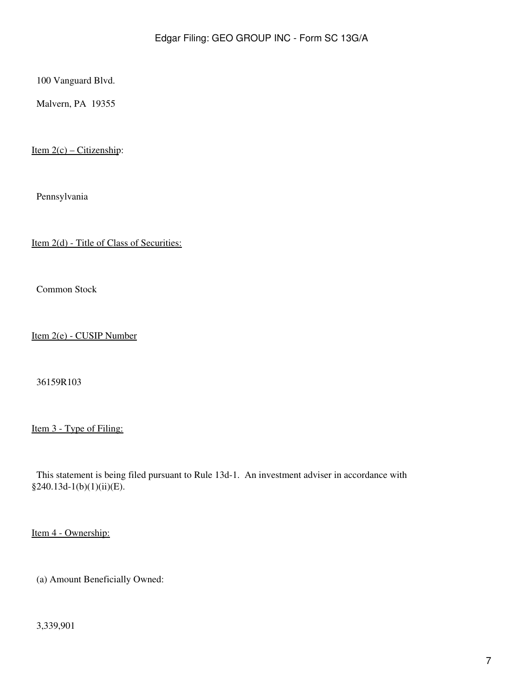100 Vanguard Blvd.

Malvern, PA 19355

Item  $2(c)$  – Citizenship:

Pennsylvania

Item 2(d) - Title of Class of Securities:

Common Stock

Item 2(e) - CUSIP Number

36159R103

Item 3 - Type of Filing:

 This statement is being filed pursuant to Rule 13d-1. An investment adviser in accordance with  $§240.13d-1(b)(1)(ii)(E).$ 

Item 4 - Ownership:

(a) Amount Beneficially Owned:

3,339,901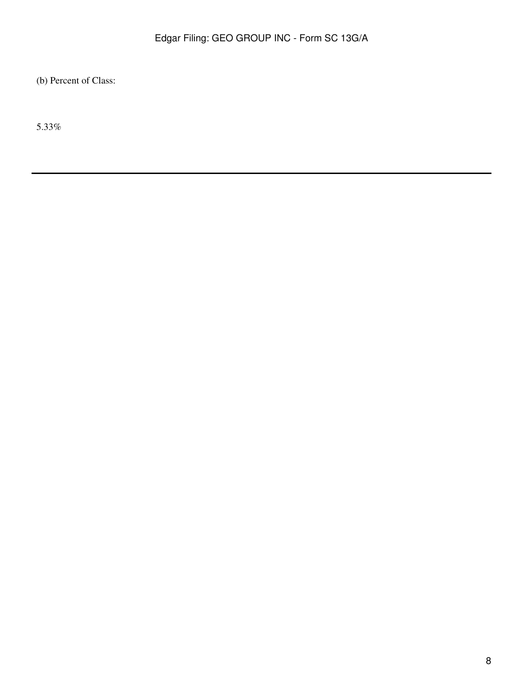(b) Percent of Class:

5.33%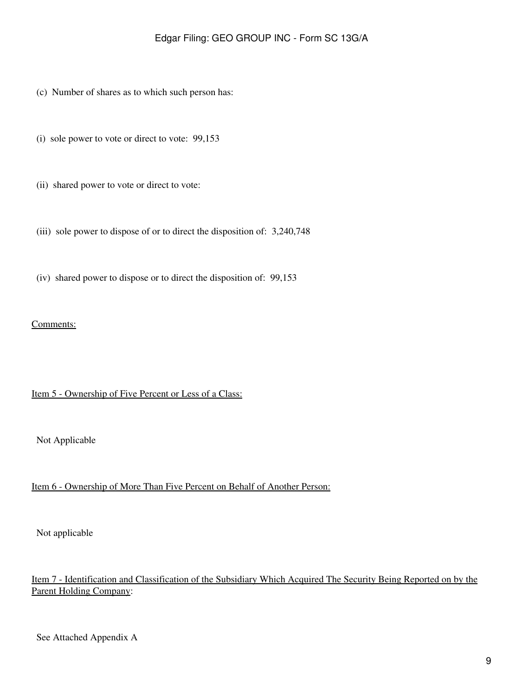- (c) Number of shares as to which such person has:
- (i) sole power to vote or direct to vote: 99,153
- (ii) shared power to vote or direct to vote:
- (iii) sole power to dispose of or to direct the disposition of: 3,240,748
- (iv) shared power to dispose or to direct the disposition of: 99,153

#### Comments:

#### Item 5 - Ownership of Five Percent or Less of a Class:

Not Applicable

#### Item 6 - Ownership of More Than Five Percent on Behalf of Another Person:

Not applicable

## Item 7 - Identification and Classification of the Subsidiary Which Acquired The Security Being Reported on by the Parent Holding Company: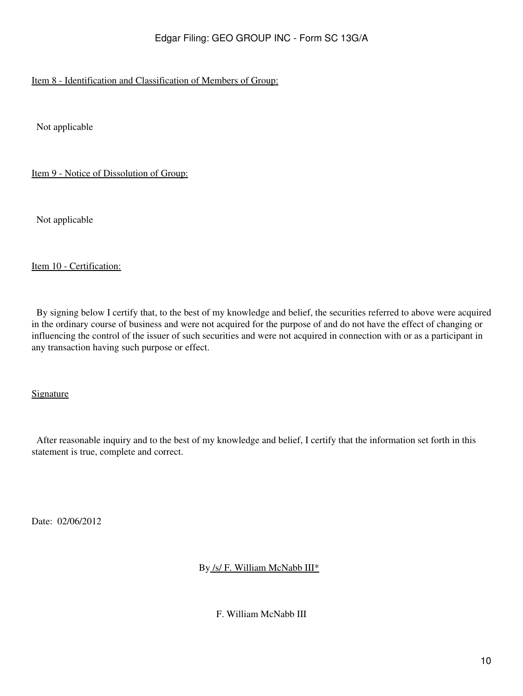# Item 8 - Identification and Classification of Members of Group:

Not applicable

Item 9 - Notice of Dissolution of Group:

Not applicable

#### Item 10 - Certification:

 By signing below I certify that, to the best of my knowledge and belief, the securities referred to above were acquired in the ordinary course of business and were not acquired for the purpose of and do not have the effect of changing or influencing the control of the issuer of such securities and were not acquired in connection with or as a participant in any transaction having such purpose or effect.

Signature

 After reasonable inquiry and to the best of my knowledge and belief, I certify that the information set forth in this statement is true, complete and correct.

Date: 02/06/2012

By /s/ F. William McNabb III\*

F. William McNabb III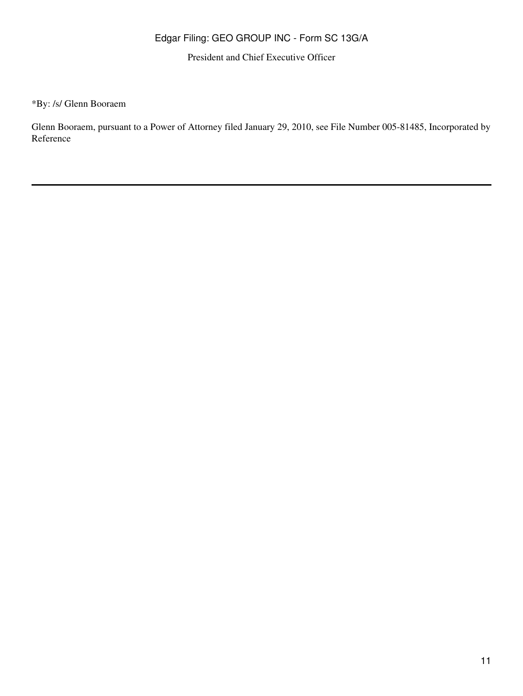# Edgar Filing: GEO GROUP INC - Form SC 13G/A

President and Chief Executive Officer

\*By: /s/ Glenn Booraem

Glenn Booraem, pursuant to a Power of Attorney filed January 29, 2010, see File Number 005-81485, Incorporated by Reference